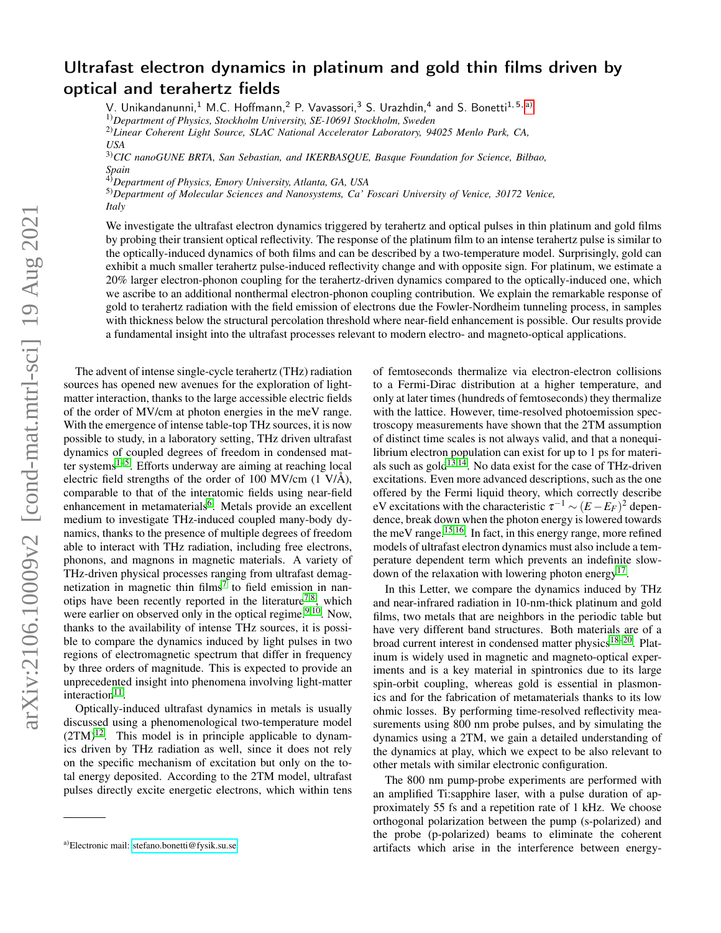## Ultrafast electron dynamics in platinum and gold thin films driven by optical and terahertz fields

V. Unikandanunni,<sup>1</sup> M.C. Hoffmann,<sup>2</sup> P. Vavassori,<sup>3</sup> S. Urazhdin,<sup>4</sup> and S. Bonetti<sup>1,5, [a\)](#page-0-0)</sup>

1)*Department of Physics, Stockholm University, SE-10691 Stockholm, Sweden*

2)*Linear Coherent Light Source, SLAC National Accelerator Laboratory, 94025 Menlo Park, CA, USA*

3)*CIC nanoGUNE BRTA, San Sebastian, and IKERBASQUE, Basque Foundation for Science, Bilbao, Spain*

4)*Department of Physics, Emory University, Atlanta, GA, USA*

5)*Department of Molecular Sciences and Nanosystems, Ca' Foscari University of Venice, 30172 Venice, Italy*

We investigate the ultrafast electron dynamics triggered by terahertz and optical pulses in thin platinum and gold films by probing their transient optical reflectivity. The response of the platinum film to an intense terahertz pulse is similar to the optically-induced dynamics of both films and can be described by a two-temperature model. Surprisingly, gold can exhibit a much smaller terahertz pulse-induced reflectivity change and with opposite sign. For platinum, we estimate a 20% larger electron-phonon coupling for the terahertz-driven dynamics compared to the optically-induced one, which we ascribe to an additional nonthermal electron-phonon coupling contribution. We explain the remarkable response of gold to terahertz radiation with the field emission of electrons due the Fowler-Nordheim tunneling process, in samples with thickness below the structural percolation threshold where near-field enhancement is possible. Our results provide a fundamental insight into the ultrafast processes relevant to modern electro- and magneto-optical applications.

The advent of intense single-cycle terahertz (THz) radiation sources has opened new avenues for the exploration of lightmatter interaction, thanks to the large accessible electric fields of the order of MV/cm at photon energies in the meV range. With the emergence of intense table-top THz sources, it is now possible to study, in a laboratory setting, THz driven ultrafast dynamics of coupled degrees of freedom in condensed mat-ter systems<sup>[1](#page-4-0)-5</sup>. Efforts underway are aiming at reaching local electric field strengths of the order of 100 MV/cm  $(1 V/A)$ , comparable to that of the interatomic fields using near-field enhancement in metamaterials<sup>[6](#page-4-2)</sup>. Metals provide an excellent medium to investigate THz-induced coupled many-body dynamics, thanks to the presence of multiple degrees of freedom able to interact with THz radiation, including free electrons, phonons, and magnons in magnetic materials. A variety of THz-driven physical processes ranging from ultrafast demag-netization in magnetic thin films<sup>[7](#page-4-3)</sup> to field emission in nan-otips have been recently reported in the literature<sup>[7](#page-4-3)[,8](#page-4-4)</sup>, which were earlier on observed only in the optical regime. $9,10$  $9,10$ . Now, thanks to the availability of intense THz sources, it is possible to compare the dynamics induced by light pulses in two regions of electromagnetic spectrum that differ in frequency by three orders of magnitude. This is expected to provide an unprecedented insight into phenomena involving light-matter  $interaction<sup>11</sup>$  $interaction<sup>11</sup>$  $interaction<sup>11</sup>$ .

Optically-induced ultrafast dynamics in metals is usually discussed using a phenomenological two-temperature model  $(2TM)^{12}$  $(2TM)^{12}$  $(2TM)^{12}$ . This model is in principle applicable to dynamics driven by THz radiation as well, since it does not rely on the specific mechanism of excitation but only on the total energy deposited. According to the 2TM model, ultrafast pulses directly excite energetic electrons, which within tens

of femtoseconds thermalize via electron-electron collisions to a Fermi-Dirac distribution at a higher temperature, and only at later times (hundreds of femtoseconds) they thermalize with the lattice. However, time-resolved photoemission spectroscopy measurements have shown that the 2TM assumption of distinct time scales is not always valid, and that a nonequilibrium electron population can exist for up to 1 ps for materials such as  $\text{gold}^{13,14}$  $\text{gold}^{13,14}$  $\text{gold}^{13,14}$  $\text{gold}^{13,14}$ . No data exist for the case of THz-driven excitations. Even more advanced descriptions, such as the one offered by the Fermi liquid theory, which correctly describe eV excitations with the characteristic  $\tau^{-1} \sim (E - E_F)^2$  dependence, break down when the photon energy is lowered towards the meV range.[15,](#page-4-11)[16](#page-4-12). In fact, in this energy range, more refined models of ultrafast electron dynamics must also include a temperature dependent term which prevents an indefinite slow-down of the relaxation with lowering photon energy<sup>[17](#page-4-13)</sup>.

In this Letter, we compare the dynamics induced by THz and near-infrared radiation in 10-nm-thick platinum and gold films, two metals that are neighbors in the periodic table but have very different band structures. Both materials are of a broad current interest in condensed matter physics<sup>[18–](#page-4-14)[20](#page-4-15)</sup>. Platinum is widely used in magnetic and magneto-optical experiments and is a key material in spintronics due to its large spin-orbit coupling, whereas gold is essential in plasmonics and for the fabrication of metamaterials thanks to its low ohmic losses. By performing time-resolved reflectivity measurements using 800 nm probe pulses, and by simulating the dynamics using a 2TM, we gain a detailed understanding of the dynamics at play, which we expect to be also relevant to other metals with similar electronic configuration.

The 800 nm pump-probe experiments are performed with an amplified Ti:sapphire laser, with a pulse duration of approximately 55 fs and a repetition rate of 1 kHz. We choose orthogonal polarization between the pump (s-polarized) and the probe (p-polarized) beams to eliminate the coherent artifacts which arise in the interference between energy-

<span id="page-0-0"></span>a)Electronic mail: [stefano.bonetti@fysik.su.se](mailto:stefano.bonetti@fysik.su.se)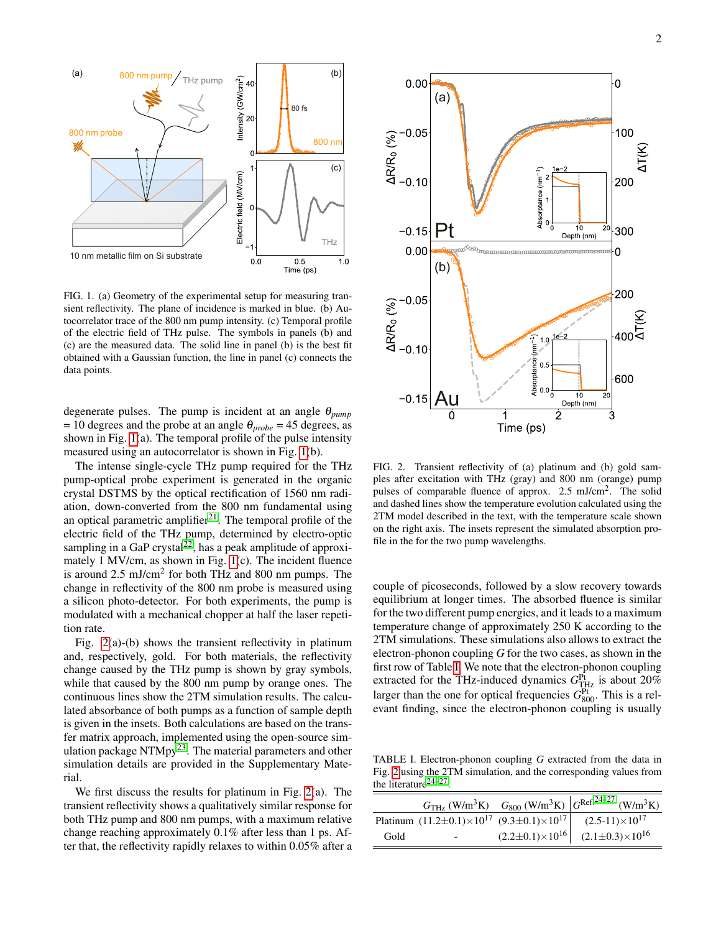

<span id="page-1-0"></span>FIG. 1. (a) Geometry of the experimental setup for measuring transient reflectivity. The plane of incidence is marked in blue. (b) Autocorrelator trace of the 800 nm pump intensity. (c) Temporal profile of the electric field of THz pulse. The symbols in panels (b) and (c) are the measured data. The solid line in panel (b) is the best fit obtained with a Gaussian function, the line in panel (c) connects the data points.

degenerate pulses. The pump is incident at an angle θ*pump*  $= 10$  degrees and the probe at an angle  $\theta_{probe} = 45$  degrees, as shown in Fig. [1\(](#page-1-0)a). The temporal profile of the pulse intensity measured using an autocorrelator is shown in Fig. [1\(](#page-1-0)b).

The intense single-cycle THz pump required for the THz pump-optical probe experiment is generated in the organic crystal DSTMS by the optical rectification of 1560 nm radiation, down-converted from the 800 nm fundamental using an optical parametric amplifier $^{21}$  $^{21}$  $^{21}$ . The temporal profile of the electric field of the THz pump, determined by electro-optic sampling in a GaP crystal<sup>[22](#page-4-17)</sup>, has a peak amplitude of approximately 1 MV/cm, as shown in Fig. [1\(](#page-1-0)c). The incident fluence is around  $2.5 \text{ mJ/cm}^2$  for both THz and 800 nm pumps. The change in reflectivity of the 800 nm probe is measured using a silicon photo-detector. For both experiments, the pump is modulated with a mechanical chopper at half the laser repetition rate.

Fig. [2\(](#page-1-1)a)-(b) shows the transient reflectivity in platinum and, respectively, gold. For both materials, the reflectivity change caused by the THz pump is shown by gray symbols, while that caused by the 800 nm pump by orange ones. The continuous lines show the 2TM simulation results. The calculated absorbance of both pumps as a function of sample depth is given in the insets. Both calculations are based on the transfer matrix approach, implemented using the open-source simulation package  $NTMpy^{23}$  $NTMpy^{23}$  $NTMpy^{23}$ . The material parameters and other simulation details are provided in the Supplementary Material.

We first discuss the results for platinum in Fig. [2\(](#page-1-1)a). The transient reflectivity shows a qualitatively similar response for both THz pump and 800 nm pumps, with a maximum relative change reaching approximately 0.1% after less than 1 ps. After that, the reflectivity rapidly relaxes to within 0.05% after a



<span id="page-1-1"></span>FIG. 2. Transient reflectivity of (a) platinum and (b) gold samples after excitation with THz (gray) and 800 nm (orange) pump pulses of comparable fluence of approx. 2.5 mJ/cm<sup>2</sup>. The solid and dashed lines show the temperature evolution calculated using the 2TM model described in the text, with the temperature scale shown on the right axis. The insets represent the simulated absorption profile in the for the two pump wavelengths.

couple of picoseconds, followed by a slow recovery towards equilibrium at longer times. The absorbed fluence is similar for the two different pump energies, and it leads to a maximum temperature change of approximately 250 K according to the 2TM simulations. These simulations also allows to extract the electron-phonon coupling *G* for the two cases, as shown in the first row of Table [I.](#page-1-2) We note that the electron-phonon coupling extracted for the THz-induced dynamics  $G_{\text{THz}}^{\text{Pt}}$  is about 20% larger than the one for optical frequencies  $G_{800}^{\text{Pt}}$ . This is a relevant finding, since the electron-phonon coupling is usually

<span id="page-1-2"></span>TABLE I. Electron-phonon coupling *G* extracted from the data in Fig. [2](#page-1-1) using the 2TM simulation, and the corresponding values from the literature $24-27$  $24-27$ .

|      |                                                                         | $G_{\text{THz}}\left(\text{W/m}^3\text{K}\right)$ $G_{800}\left(\text{W/m}^3\text{K}\right)\left G^{\text{Ref.}24-27}\left(\text{W/m}^3\text{K}\right)\right $ |
|------|-------------------------------------------------------------------------|----------------------------------------------------------------------------------------------------------------------------------------------------------------|
|      | Platinum $(11.2 \pm 0.1) \times 10^{17}$ $(9.3 \pm 0.1) \times 10^{17}$ | $(2.5-11)\times10^{17}$                                                                                                                                        |
| Gold | $\sim$                                                                  | $(2.2\pm0.1)\times10^{16}$ $(2.1\pm0.3)\times10^{16}$                                                                                                          |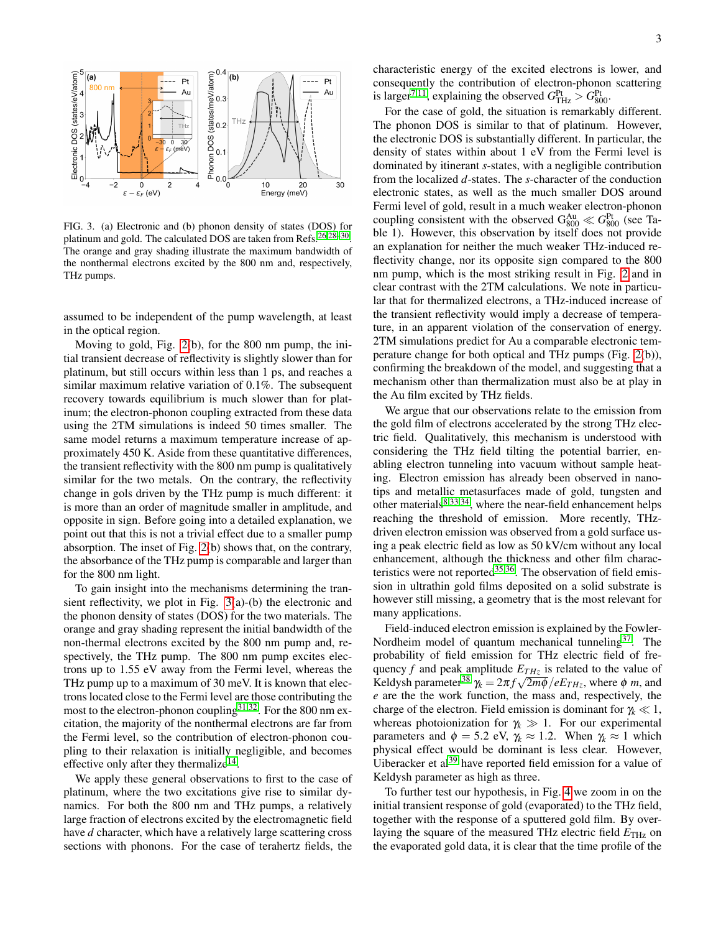

<span id="page-2-0"></span>FIG. 3. (a) Electronic and (b) phonon density of states (DOS) for platinum and gold. The calculated DOS are taken from Refs.<sup>[26](#page-4-21)[,28](#page-4-22)[–30](#page-4-23)</sup>. The orange and gray shading illustrate the maximum bandwidth of the nonthermal electrons excited by the 800 nm and, respectively, THz pumps.

assumed to be independent of the pump wavelength, at least in the optical region.

Moving to gold, Fig. [2\(](#page-1-1)b), for the 800 nm pump, the initial transient decrease of reflectivity is slightly slower than for platinum, but still occurs within less than 1 ps, and reaches a similar maximum relative variation of 0.1%. The subsequent recovery towards equilibrium is much slower than for platinum; the electron-phonon coupling extracted from these data using the 2TM simulations is indeed 50 times smaller. The same model returns a maximum temperature increase of approximately 450 K. Aside from these quantitative differences, the transient reflectivity with the 800 nm pump is qualitatively similar for the two metals. On the contrary, the reflectivity change in gols driven by the THz pump is much different: it is more than an order of magnitude smaller in amplitude, and opposite in sign. Before going into a detailed explanation, we point out that this is not a trivial effect due to a smaller pump absorption. The inset of Fig. [2\(](#page-1-1)b) shows that, on the contrary, the absorbance of the THz pump is comparable and larger than for the 800 nm light.

To gain insight into the mechanisms determining the transient reflectivity, we plot in Fig. [3\(](#page-2-0)a)-(b) the electronic and the phonon density of states (DOS) for the two materials. The orange and gray shading represent the initial bandwidth of the non-thermal electrons excited by the 800 nm pump and, respectively, the THz pump. The 800 nm pump excites electrons up to 1.55 eV away from the Fermi level, whereas the THz pump up to a maximum of 30 meV. It is known that electrons located close to the Fermi level are those contributing the most to the electron-phonon coupling<sup>[31](#page-4-24)[,32](#page-4-25)</sup>. For the 800 nm excitation, the majority of the nonthermal electrons are far from the Fermi level, so the contribution of electron-phonon coupling to their relaxation is initially negligible, and becomes effective only after they thermalize $^{14}$  $^{14}$  $^{14}$ .

We apply these general observations to first to the case of platinum, where the two excitations give rise to similar dynamics. For both the 800 nm and THz pumps, a relatively large fraction of electrons excited by the electromagnetic field have *d* character, which have a relatively large scattering cross sections with phonons. For the case of terahertz fields, the characteristic energy of the excited electrons is lower, and consequently the contribution of electron-phonon scattering is larger<sup>[7,](#page-4-3)[11](#page-4-7)</sup>, explaining the observed  $G_{\text{THz}}^{\text{Pt}} > G_{800}^{\text{Pt}}$ .

For the case of gold, the situation is remarkably different. The phonon DOS is similar to that of platinum. However, the electronic DOS is substantially different. In particular, the density of states within about 1 eV from the Fermi level is dominated by itinerant *s*-states, with a negligible contribution from the localized *d*-states. The *s*-character of the conduction electronic states, as well as the much smaller DOS around Fermi level of gold, result in a much weaker electron-phonon coupling consistent with the observed  $G_{800}^{\text{Au}} \ll G_{800}^{\text{Pt}}$  (see Table 1). However, this observation by itself does not provide an explanation for neither the much weaker THz-induced reflectivity change, nor its opposite sign compared to the 800 nm pump, which is the most striking result in Fig. [2](#page-1-1) and in clear contrast with the 2TM calculations. We note in particular that for thermalized electrons, a THz-induced increase of the transient reflectivity would imply a decrease of temperature, in an apparent violation of the conservation of energy. 2TM simulations predict for Au a comparable electronic temperature change for both optical and THz pumps (Fig. [2\(](#page-1-1)b)), confirming the breakdown of the model, and suggesting that a mechanism other than thermalization must also be at play in the Au film excited by THz fields.

We argue that our observations relate to the emission from the gold film of electrons accelerated by the strong THz electric field. Qualitatively, this mechanism is understood with considering the THz field tilting the potential barrier, enabling electron tunneling into vacuum without sample heating. Electron emission has already been observed in nanotips and metallic metasurfaces made of gold, tungsten and other materials $8,33,34$  $8,33,34$  $8,33,34$ , where the near-field enhancement helps reaching the threshold of emission. More recently, THzdriven electron emission was observed from a gold surface using a peak electric field as low as 50 kV/cm without any local enhancement, although the thickness and other film characteristics were not reported $35,36$  $35,36$ . The observation of field emission in ultrathin gold films deposited on a solid substrate is however still missing, a geometry that is the most relevant for many applications.

Field-induced electron emission is explained by the Fowler-Nordheim model of quantum mechanical tunneling $37$ . The probability of field emission for THz electric field of frequency *f* and peak amplitude  $E_{THz}$  is related to the value of Keldysh parameter<sup>[38](#page-4-31)</sup>  $\gamma_k = 2\pi f \sqrt{2m\phi}/eE_{THz}$ , where  $\phi$  *m*, and *e* are the the work function, the mass and, respectively, the charge of the electron. Field emission is dominant for  $\gamma_k \ll 1$ , whereas photoionization for  $\gamma_k \gg 1$ . For our experimental parameters and  $\phi = 5.2$  eV,  $\gamma_k \approx 1.2$ . When  $\gamma_k \approx 1$  which physical effect would be dominant is less clear. However, Uiberacker et  $al^{39}$  $al^{39}$  $al^{39}$  have reported field emission for a value of Keldysh parameter as high as three.

To further test our hypothesis, in Fig. [4](#page-3-0) we zoom in on the initial transient response of gold (evaporated) to the THz field, together with the response of a sputtered gold film. By overlaying the square of the measured THz electric field  $E_{\text{THz}}$  on the evaporated gold data, it is clear that the time profile of the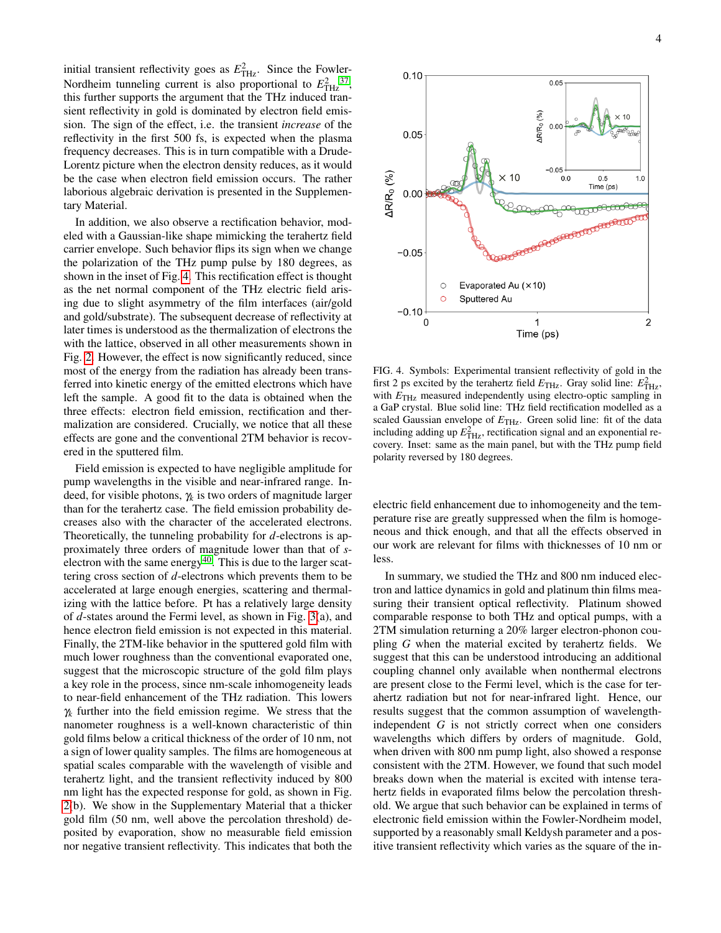initial transient reflectivity goes as  $E_{\text{THz}}^2$ . Since the Fowler-Nordheim tunneling current is also proportional to  $E_{\text{THz}}^2$ <sup>[37](#page-4-30)</sup>, this further supports the argument that the THz induced transient reflectivity in gold is dominated by electron field emission. The sign of the effect, i.e. the transient *increase* of the reflectivity in the first 500 fs, is expected when the plasma frequency decreases. This is in turn compatible with a Drude-Lorentz picture when the electron density reduces, as it would be the case when electron field emission occurs. The rather laborious algebraic derivation is presented in the Supplementary Material.

In addition, we also observe a rectification behavior, modeled with a Gaussian-like shape mimicking the terahertz field carrier envelope. Such behavior flips its sign when we change the polarization of the THz pump pulse by 180 degrees, as shown in the inset of Fig. [4.](#page-3-0) This rectification effect is thought as the net normal component of the THz electric field arising due to slight asymmetry of the film interfaces (air/gold and gold/substrate). The subsequent decrease of reflectivity at later times is understood as the thermalization of electrons the with the lattice, observed in all other measurements shown in Fig. [2.](#page-1-1) However, the effect is now significantly reduced, since most of the energy from the radiation has already been transferred into kinetic energy of the emitted electrons which have left the sample. A good fit to the data is obtained when the three effects: electron field emission, rectification and thermalization are considered. Crucially, we notice that all these effects are gone and the conventional 2TM behavior is recovered in the sputtered film.

Field emission is expected to have negligible amplitude for pump wavelengths in the visible and near-infrared range. Indeed, for visible photons, γ*<sup>k</sup>* is two orders of magnitude larger than for the terahertz case. The field emission probability decreases also with the character of the accelerated electrons. Theoretically, the tunneling probability for *d*-electrons is approximately three orders of magnitude lower than that of *s*-electron with the same energy<sup>[40](#page-4-33)</sup>. This is due to the larger scattering cross section of *d*-electrons which prevents them to be accelerated at large enough energies, scattering and thermalizing with the lattice before. Pt has a relatively large density of *d*-states around the Fermi level, as shown in Fig. [3\(](#page-2-0)a), and hence electron field emission is not expected in this material. Finally, the 2TM-like behavior in the sputtered gold film with much lower roughness than the conventional evaporated one, suggest that the microscopic structure of the gold film plays a key role in the process, since nm-scale inhomogeneity leads to near-field enhancement of the THz radiation. This lowers γ*<sup>k</sup>* further into the field emission regime. We stress that the nanometer roughness is a well-known characteristic of thin gold films below a critical thickness of the order of 10 nm, not a sign of lower quality samples. The films are homogeneous at spatial scales comparable with the wavelength of visible and terahertz light, and the transient reflectivity induced by 800 nm light has the expected response for gold, as shown in Fig. [2\(](#page-1-1)b). We show in the Supplementary Material that a thicker gold film (50 nm, well above the percolation threshold) deposited by evaporation, show no measurable field emission nor negative transient reflectivity. This indicates that both the



<span id="page-3-0"></span>FIG. 4. Symbols: Experimental transient reflectivity of gold in the first 2 ps excited by the terahertz field  $E_{\text{THz}}$ . Gray solid line:  $E_{\text{THz}}^2$ , with  $E_{\text{THz}}$  measured independently using electro-optic sampling in a GaP crystal. Blue solid line: THz field rectification modelled as a scaled Gaussian envelope of  $E_{\text{THz}}$ . Green solid line: fit of the data including adding up  $E_{\text{THz}}^2$ , rectification signal and an exponential recovery. Inset: same as the main panel, but with the THz pump field polarity reversed by 180 degrees.

electric field enhancement due to inhomogeneity and the temperature rise are greatly suppressed when the film is homogeneous and thick enough, and that all the effects observed in our work are relevant for films with thicknesses of 10 nm or less.

In summary, we studied the THz and 800 nm induced electron and lattice dynamics in gold and platinum thin films measuring their transient optical reflectivity. Platinum showed comparable response to both THz and optical pumps, with a 2TM simulation returning a 20% larger electron-phonon coupling *G* when the material excited by terahertz fields. We suggest that this can be understood introducing an additional coupling channel only available when nonthermal electrons are present close to the Fermi level, which is the case for terahertz radiation but not for near-infrared light. Hence, our results suggest that the common assumption of wavelengthindependent *G* is not strictly correct when one considers wavelengths which differs by orders of magnitude. Gold, when driven with 800 nm pump light, also showed a response consistent with the 2TM. However, we found that such model breaks down when the material is excited with intense terahertz fields in evaporated films below the percolation threshold. We argue that such behavior can be explained in terms of electronic field emission within the Fowler-Nordheim model, supported by a reasonably small Keldysh parameter and a positive transient reflectivity which varies as the square of the in